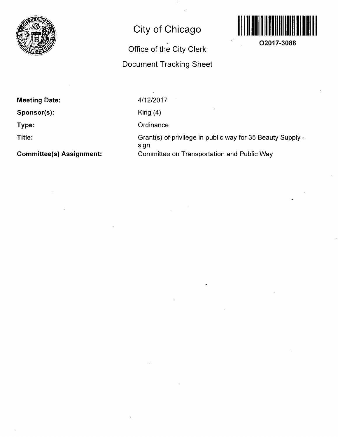

## **City of Chicago**

## **Office of the City Clerk**

## **Document Tracking Sheet**



**02017-3088** 

**Meeting Date:** 

**Sponsor(s):** 

**Type:** 

**Title:** 

**Committee(s) Assignment:** 

4/12/2017

King (4)

**Ordinance** 

Grant(s) of privilege in public way for 35 Beauty Supply sign Committee on Transportation and Public Way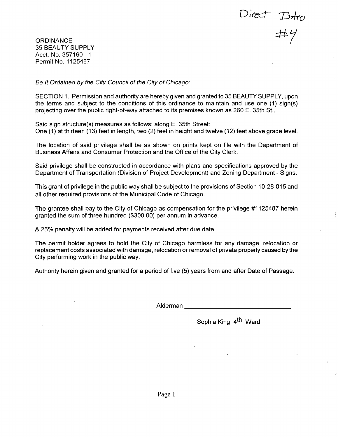Direct Intro<br>#4

**ORDINANCE** 35 BEAUTY SUPPLY Acct. No. 357160-1 Permit No. 1125487

Be It Ordained by the City Council of the City of Chicago:

SECTION 1. Permission and authority are hereby given and granted to 35 BEAUTY SUPPLY, upon the terms and subject to the conditions of this ordinance to maintain and use one (1) sign(s) projecting over the public right-of-way attached to its premises known as 260 E. 35th St..

Said sign structure(s) measures as follows; along E. 35th Street: One (1) at thirteen (13) feet in length, two (2) feet in height and twelve (12) feet above grade level.

The location of said privilege shall be as shown on prints kept on file with the Department of Business Affairs and Consumer Protection and the Office of the City Clerk.

Said privilege shall be constructed in accordance with plans and specifications approved by the Department of Transportation (Division of Project Development) and Zoning Department - Signs.

This grant of privilege in the public way shall be subject to the provisions of Section 10-28-015 and all other required provisions of the Municipal Code of Chicago.

The grantee shall pay to the City of Chicago as compensation for the privilege #1125487 herein granted the sum of three hundred (\$300.00) per annum in advance.

A 25% penalty will be added for payments received after due date.

The permit holder agrees to hold the City of Chicago harmless for any damage, relocation or replacement costs associated with damage, relocation or removal of private property caused by the City performing work in the public way.

Authority herein given and granted for a period of five (5) years from and after Date of Passage.

Alderman

Sophia King 4<sup>th</sup> Ward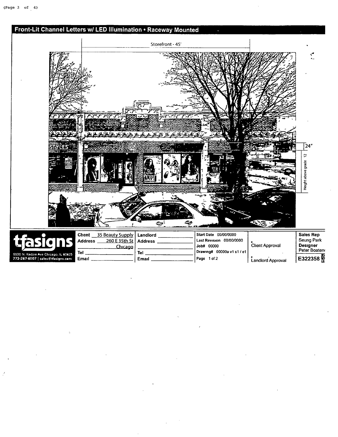